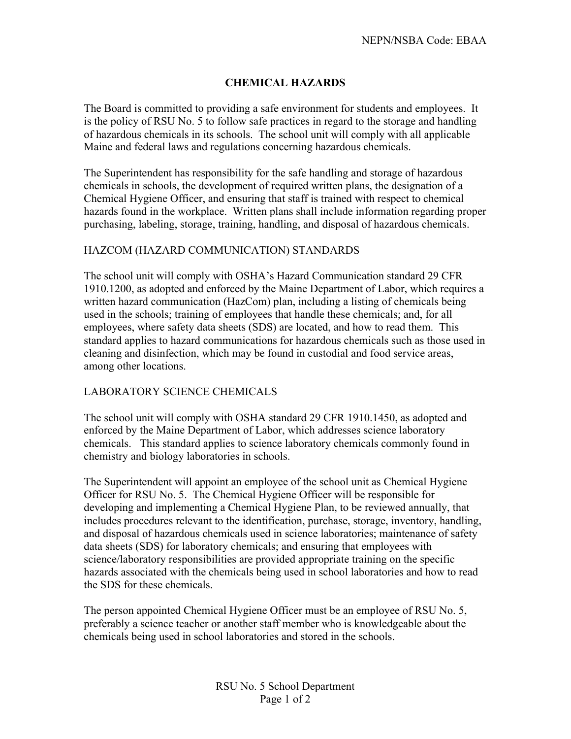## **CHEMICAL HAZARDS**

The Board is committed to providing a safe environment for students and employees. It is the policy of RSU No. 5 to follow safe practices in regard to the storage and handling of hazardous chemicals in its schools. The school unit will comply with all applicable Maine and federal laws and regulations concerning hazardous chemicals.

The Superintendent has responsibility for the safe handling and storage of hazardous chemicals in schools, the development of required written plans, the designation of a Chemical Hygiene Officer, and ensuring that staff is trained with respect to chemical hazards found in the workplace. Written plans shall include information regarding proper purchasing, labeling, storage, training, handling, and disposal of hazardous chemicals.

## HAZCOM (HAZARD COMMUNICATION) STANDARDS

The school unit will comply with OSHA's Hazard Communication standard 29 CFR 1910.1200, as adopted and enforced by the Maine Department of Labor, which requires a written hazard communication (HazCom) plan, including a listing of chemicals being used in the schools; training of employees that handle these chemicals; and, for all employees, where safety data sheets (SDS) are located, and how to read them. This standard applies to hazard communications for hazardous chemicals such as those used in cleaning and disinfection, which may be found in custodial and food service areas, among other locations.

## LABORATORY SCIENCE CHEMICALS

The school unit will comply with OSHA standard 29 CFR 1910.1450, as adopted and enforced by the Maine Department of Labor, which addresses science laboratory chemicals. This standard applies to science laboratory chemicals commonly found in chemistry and biology laboratories in schools.

The Superintendent will appoint an employee of the school unit as Chemical Hygiene Officer for RSU No. 5.The Chemical Hygiene Officer will be responsible for developing and implementing a Chemical Hygiene Plan, to be reviewed annually, that includes procedures relevant to the identification, purchase, storage, inventory, handling, and disposal of hazardous chemicals used in science laboratories; maintenance of safety data sheets (SDS) for laboratory chemicals; and ensuring that employees with science/laboratory responsibilities are provided appropriate training on the specific hazards associated with the chemicals being used in school laboratories and how to read the SDS for these chemicals.

The person appointed Chemical Hygiene Officer must be an employee of RSU No. 5, preferably a science teacher or another staff member who is knowledgeable about the chemicals being used in school laboratories and stored in the schools.